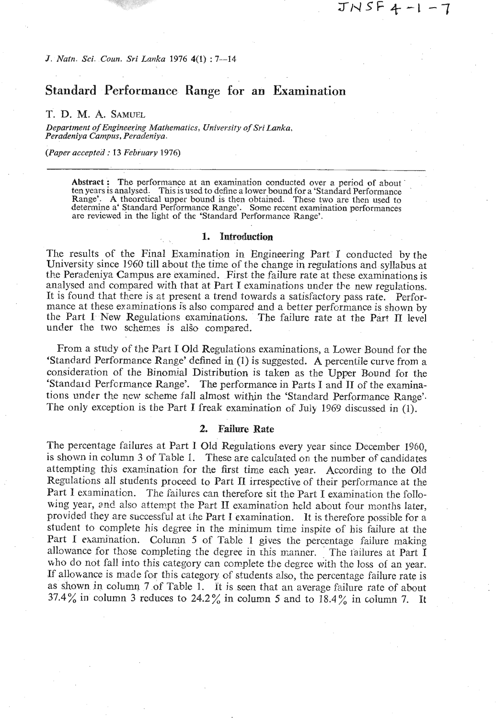*J. Natn. Sci. Coun. Sri Larlka* 1976 **4(1)** : 7-14

## Standard *Performance* Range *for an* Examination

### T. D. M. A. **SAMUEL**

Department of Engineering Mathematics, University of Sri Lanka, *Peradeniya Campus, Peradeniya.* 

*(Paper accepted : 13 February 1976)* 

**Abstract** : The performance at an examination conducted over a period of about ten years is analysed. This is used to define **a** lower bound for a 'Standard Performance Range'. A theoretical upper bound is then obtained. These two are then used to determine a' Standard Performance Range'. Some recent examination performances are reviewed in the light of the 'Standard Performance Range'.

#### 1. Introduction

The results of the Final Examination in Engineering Part I conducted by the University since 1960 till about the time of the change in regulations and syllabus at the Peradeniya Campus are examined. First the failure rate at these examinations is analysed and compared with that at Part I examinations under tbe new regulations. It is found that there is at present a trend towards a satisfactory pass rate. Performance at these examinations is also compared and a better performance is shown by the Part I New Regulations examinations. The failure rate at the Part **II** level under the two schemes is also compared.

From a study of the Part I Old Regulations examinations, a Lower Bound for the 'Standard Performance Range' defined in **(1)** is suggested. **A** percentile curve from a consideration of the Binomial Distribution is taken as the Upper Bound for the 'Standald Performance Range'. The performance in Parts I and **I1** of the examinations under the new scheme fall almost within the 'Standard Performance Range'. The only exception is the Part I freak examination of July 1969 discussed in (1).

#### **2. Failure Rate**

The percentage failures at Part 1 Old Regulations every year since December 1960, is shown in column 3 of Table 1. These are calculated on the number of candidates attempting this examination for the first time each year. According to the Old Regulations all students proceed to Part I1 irrespective of their performance at the Part I examination. The failures can therefore sit the Part I examination the following year, and also attempt the Part II examination held about four months later, provided they are successful at the Part I examination. It is therefore possible for a student to complete his degree in the minimum time inspite of his failure at the Part I examination. Column 5 of Table 1 gives the percentage failure making allowance for those completing the degree in this manner. The iailures at Part I who do not fall into this category can complete the degree with the loss of an year. If allowance is made for this category of students also, the percentage failure rate is as shown in column 7 of Table 1. Tt is seen that an average failure rate of abont 37.4% in column 3 reduces to 24.2% in column 5 and to 18.4% in column 7. **It**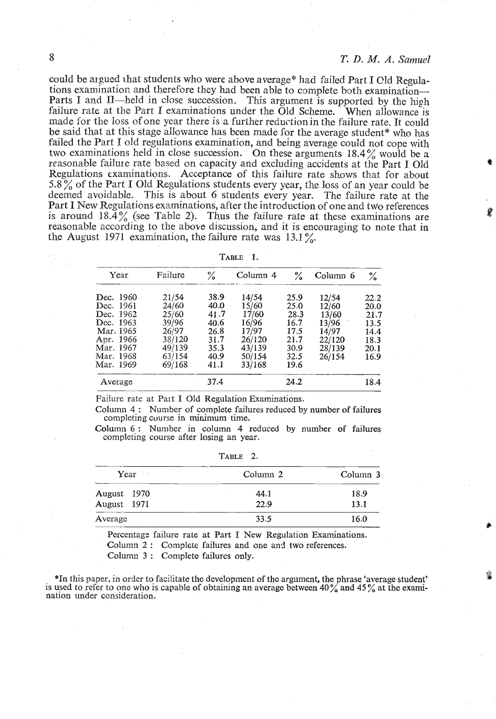could be argued that students who were above average\* had failed Part I Qld Regulations examination and therefore they had been able to complete both examination-Parts I and II—held in close succession. This argument is supported by the high failure rate at the Part I examinations under the Old Scheme. When allowance is made for the loss of one year there is a further reductionin the failure rate. It could be said that at this stage allowance has been made for the average student\* who has failed the Part I old regulations examination, and being average could not cope with two examinations held in close succession. On these arguments 18.4% would be a reasonable failure rate based on capacity and excluding accidents at the Part I Old Regulations examinations. Acceptance of this failure rate shows that for about **5.8** % of the Part I Old Regulations students every year, the loss of an year could be deemed avoidable. This is about 6 students every year. The failure rate at the Part I New Regulations examinations, after the introduction of one and two references is around **18.4%** (see Table *2).* Thus the failure rate at these examinations are reasonable according to the above discussion, and it is encouraging to note that in the August 1971 examination, the failure rate was **13.1** %.

| $I$ able |  |
|----------|--|
|          |  |

| Year      | Failure   | ℅    | Column <sub>4</sub> | %    | Column <sub>6</sub> | $\%$ |
|-----------|-----------|------|---------------------|------|---------------------|------|
| Dec. 1960 | 21/54     | 38.9 | 14/54               | 25.9 | 12/54               | 22.2 |
| Dec. 1961 | 24/60     | 40.0 | 15/60               | 25.0 | 12/60               | 20.0 |
| Dec. 1962 | 25/60     | 41.7 | 17/60               | 28.3 | 13/60               | 21.7 |
| Dec. 1963 | 39/96     | 40.6 | 16/96               | 16.7 | 13/96               | 13.5 |
| Mar. 1965 | 26/97     | 26.8 | 17/97               | 17.5 | 14/97               | 14.4 |
| Apr. 1966 | 38/120    | 31.7 | 26/120              | 21.7 | 22/120              | 18.3 |
| Mar. 1967 | 49/139    | 35.3 | 43/139              | 30.9 | 28/139              | 20.1 |
| Mar. 1968 | 63/154    | 40.9 | 50/154              | 32.5 | 26/154              | 16.9 |
| Mar. 1969 | $-69/168$ | 41.1 | 33/168              | 19.6 |                     |      |
| Average   |           | 37.4 |                     | 24.2 |                     | 18.4 |

Failure rate at Part I Old Regulation Examinations.

Column **4.** : Number of complete failures reduced by number of failures completing course in minimum time.

Column 6: Number in column 4 reduced by number of failures completing course after losing an year.

| $Year -$    | Column <sub>2</sub> | Column 3 |  |
|-------------|---------------------|----------|--|
| August 1970 | 44.1                | 18.9     |  |
| August 1971 | 22.9                | 13.1     |  |
| Average     | 33.5                | 16.0     |  |

TABLE 2.

Percentage failure rate at Part I New Regulation Examinations.

Column 2 : Complete failures and one and two references.

Column **3** : Complete failures only.

\*In this paper, in order to facilitate the development of the argument, the phrase 'average student' is used to refer to one who 1s capable of obtaining an average between **40%** and 45 % at the examination under consideration.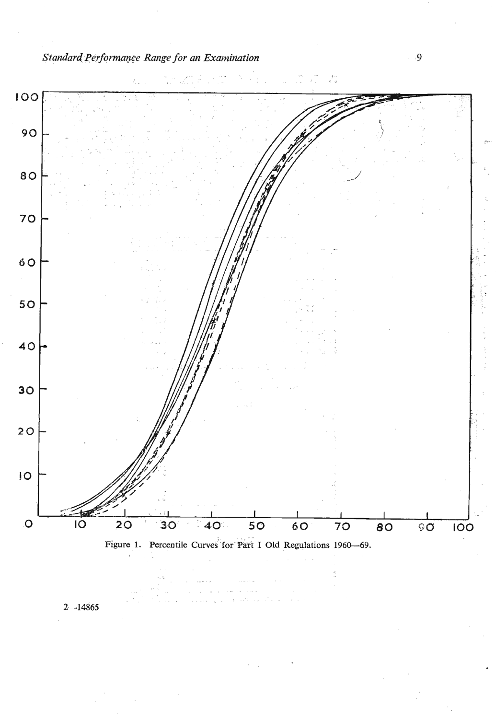*Standard Performance Range for an Examination* **9** 



 $2 - 14865$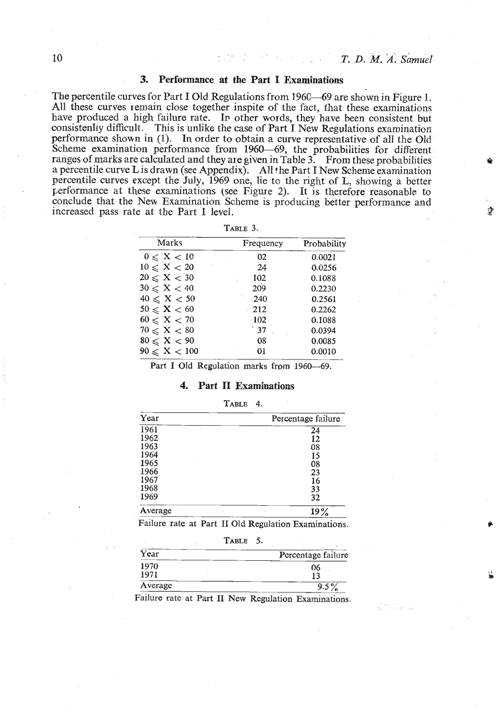**C.** . ' ..' ...

### 3. Performance **at the** Part **I Examinations**

The percentile curves for Part I Old Regulations from 1960–69 are shown in Figure 1. All these curves remain close together inspite of the fact, that these examinations have produced a high failure rate. In other words, they have been consistent but consistenlly difficult. This is unlike the case of Part I New Regulations examination performance shown in (1). In order to obtain a curve representative of all the Old Scheme examination performance from 1960-69, the probabilities for different ranges of marks are calculated and they are given in Table 3. From these probabilities a percentile curve L is drawn (see Appendix). **All** the Part I New Scheme examination percentile curves except the July, 1969 one, lie to the right of L, showing a better performance at these examinations (see Figure 2). It is therefore reasonable to conclude that the New Examination Scheme is producing better performance and increased pass rate at the Part I level.

**TABLE 3.** 

| Marks                   | Frequency     | Probability |  |
|-------------------------|---------------|-------------|--|
| $0 \leqslant X < 10$    | 02            | 0.0021      |  |
| $10 \leqslant$ X $< 20$ | 24            | 0.0256      |  |
| $20 \leqslant X < 30$   | 102           | 0.1088      |  |
| $30 \le X < 40$         | 209           | 0.2230      |  |
| $40 \le X < 50$         | 240           | 0.2561      |  |
| $50 \leqslant X < 60$   | 212           | 0.2262      |  |
| $60 \leqslant$ X $< 70$ | $-102$        | 0.1088      |  |
| $70 \leqslant$ X $< 80$ | $^{\circ}$ 37 | 0.0394      |  |
| $80 \leqslant X < 90$   | 08            | 0.0085      |  |
| $90 \le X < 100$        | 01            | 0.0010      |  |

Part I Old Regulation marks from 1960-69.

#### 4. Part **II** Examinations

#### TABLE 4.

| Year    | Percentage failure |
|---------|--------------------|
| 1961    | 24                 |
| 1962    | 12                 |
| 1963    | 08                 |
| 1964    | 15                 |
| 1965    | 08                 |
| 1966    | 23                 |
| 1967    | 16                 |
| 1968    | 33                 |
| 1969    | 32                 |
| Average | 19%<br>×           |

Failure rate at Part I1 Old Regulation Examinations.

|         | <b>TABLE</b>                                         |
|---------|------------------------------------------------------|
| Year    | Percentage failure                                   |
| 1970    | 06                                                   |
| 1971    | 13                                                   |
| Average | $9.5\%$                                              |
|         | Failure rate at Part II New Regulation Examinations. |

 $10$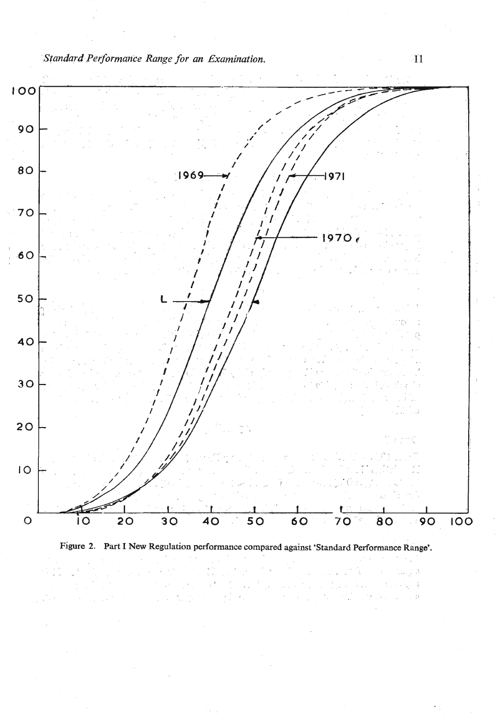*Standard Performance Range for an Examination.* 1'1





 $\langle \cdot \rangle$  .<br>A  $\frac{1}{2}$  $\bar{\rm p}$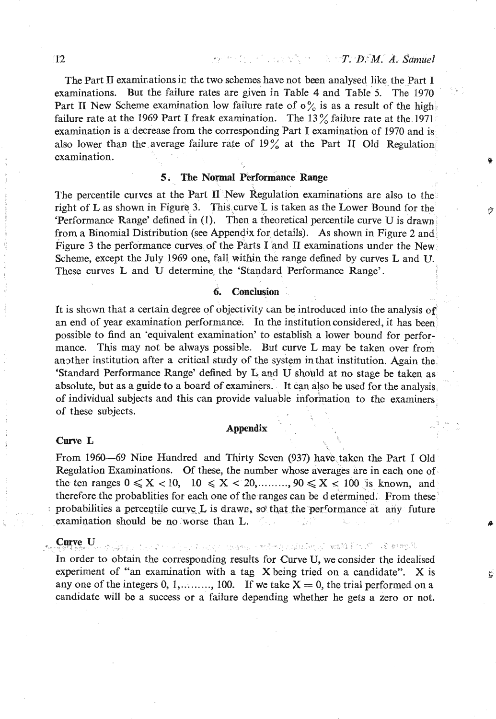T. D. M. A. Samuel

The Part II examinations in the two schemes have not been analysed like the Part I examinations. But the failure rates are given in Table 4 and Table 5. The 1970 Part II New Scheme examination low failure rate of  $\sigma_{\alpha}^{0}$  is as a result of the high failure rate at the 1969 Part I freak examination. The **13** % failure rate at the 1971 examination is a decrease from the corresponding Part I examination of 1970 and is also lower than the average failure rate of 19% at the Part **I1** Old Regulation, examination. **9** 

### **I 5. The Normal Performance Range**

The percentile curves at the Part  $\Pi$  New Regulation examinations are also to the right of L as shown in Figure 3. This curve L is taken as the Lower Bound for the 'Performance Range' defined in (I), Then a theoretical percentile curve U is drawn from a Binomial Distribution (see Appendix for details). As shown in Figure 2 and, Figure 3 the performance curves of the Parts I and II examinations under the New Scheme, except the July 1969 one, fall within the range defined by curves L and **U.**  These curves L and U determine the 'Standard Performance Range'.

#### **6. Conclusion**

It is shcwn that a certain degree of objecrivity can be introduced into the analysis of an end of year examination performance. In the institution considered, it has been' possible to find an 'equivalent examination' to establish a lower bound for performance. This may not be always possible. But curve L may be taken over from another institution after a critical study of the system in that institution. Again the 'Standard Performance Range' defined by Land U should at no stage be taken as absolute, but as a guide to a board of examiners. It can also be used for the analysis, ' of individual subjects and this can provide valuable information to the examiners of these subjects.<br> **Appendix** 

# **Curve L Curve L Curve L I**

From 1960-69 Nine Hundred and Thirty Seven (937) have taken the Part I Old Regulation Examinations. Of these, the number whose averages are in each one of the ten ranges  $0 \le X < 10$ ,  $10 \le X < 20$ ,........,  $90 \le X < 100$  is known, and therefore the probablities for each one of the ranges can be d etermined. From these' probabilities a percentile curve L is drawn, so that the performance at any future examination should be no worse than L.

**Curve, U**<br>1989 1989 – P. S. 1989 p. Carl Catherine Research and the Second Ladia Depape Research A. S. 2009 P. D. In order to obtain the corresponding results for Curve **U,** we consider the idealised experiment of "an examination with a tag X being tried on a candidate". X is any one of the integers 0, 1,........, 100. If we take  $X = 0$ , the trial performed on a candidate will be a success or a failure depending whether he gets **a** zero or not.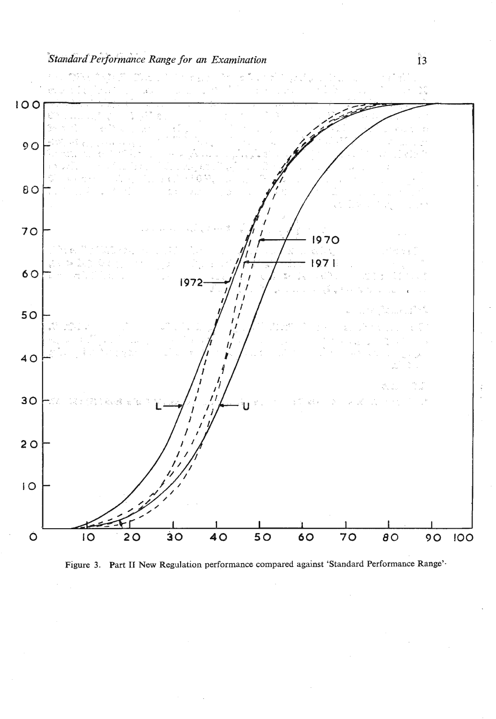# *.standard performance Range for an Examination* **13**